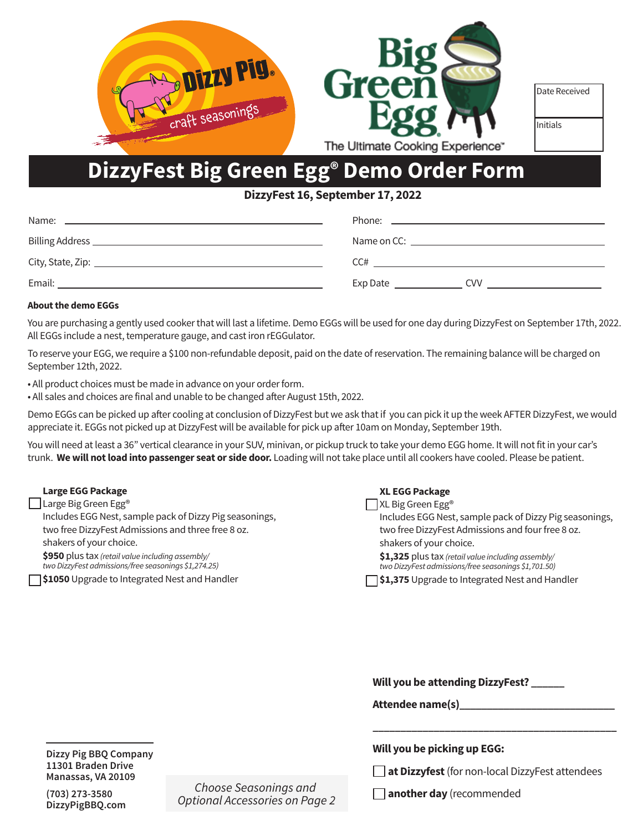

## **DizzyFest Big Green Egg® Demo Order Form**

**DizzyFest 16, September 17, 2022**

| Name:  |                        |
|--------|------------------------|
|        |                        |
|        | CC#                    |
| Email: | Exp Date<br><b>CVV</b> |

## **About the demo EGGs**

You are purchasing a gently used cooker that will last a lifetime. Demo EGGs will be used for one day during DizzyFest on September 17th, 2022. All EGGs include a nest, temperature gauge, and cast iron rEGGulator.

To reserve your EGG, we require a \$100 non-refundable deposit, paid on the date of reservation. The remaining balance will be charged on September 12th, 2022.

• All product choices must be made in advance on your order form.

• All sales and choices are final and unable to be changed after August 15th, 2022.

Demo EGGs can be picked up after cooling at conclusion of DizzyFest but we ask that if you can pick it up the week AFTER DizzyFest, we would appreciate it. EGGs not picked up at DizzyFest will be available for pick up after 10am on Monday, September 19th.

You will need at least a 36" vertical clearance in your SUV, minivan, or pickup truck to take your demo EGG home. It will not fit in your car's trunk. **We will not load into passenger seat or side door.** Loading will not take place until all cookers have cooled. Please be patient.

| <b>Large EGG Package</b>                                                                                 | <b>XL EGG Package</b>                                                                                      |
|----------------------------------------------------------------------------------------------------------|------------------------------------------------------------------------------------------------------------|
| $\Box$ Large Big Green Egg®                                                                              | $\Box$ XL Big Green Egg®                                                                                   |
| Includes EGG Nest, sample pack of Dizzy Pig seasonings,                                                  | Includes EGG Nest, sample pack of Dizzy Pig seasonings,                                                    |
| two free DizzyFest Admissions and three free 8 oz.                                                       | two free DizzyFest Admissions and four free 8 oz.                                                          |
| shakers of your choice.                                                                                  | shakers of your choice.                                                                                    |
| \$950 plus tax (retail value including assembly/<br>two DizzyFest admissions/free seasonings \$1,274.25) | \$1,325 plus tax (retail value including assembly/<br>two DizzyFest admissions/free seasonings \$1,701.50) |
| <b>S1050</b> Upgrade to Integrated Nest and Handler                                                      | <b>S1,375</b> Upgrade to Integrated Nest and Handler                                                       |

|                                                         | Will you be attending DizzyFest? ______<br>Attendee name(s)________ |  |
|---------------------------------------------------------|---------------------------------------------------------------------|--|
|                                                         | Will you be picking up EGG:                                         |  |
|                                                         | <b>dia dia Dizzyfest</b> (for non-local DizzyFest attendees         |  |
| Choose Seasonings and<br>Optional Accessories on Page 2 | another day (recommended                                            |  |

**Dizzy Pig BBQ Company 11301 Braden Drive Manassas, VA 20109**

**(703) 273-3580 DizzyPigBBQ.com**